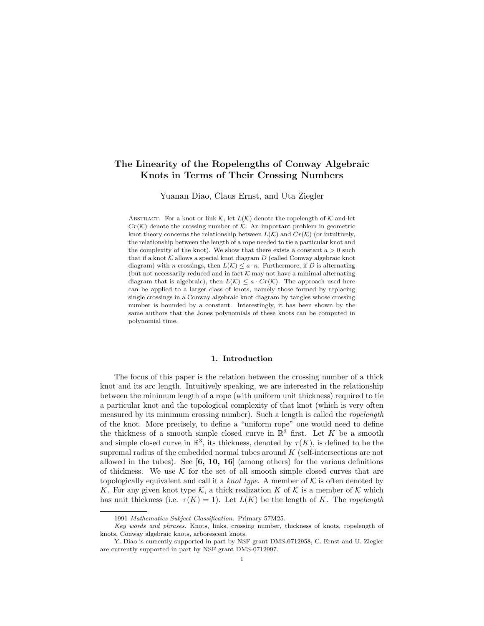# The Linearity of the Ropelengths of Conway Algebraic Knots in Terms of Their Crossing Numbers

Yuanan Diao, Claus Ernst, and Uta Ziegler

ABSTRACT. For a knot or link K, let  $L(K)$  denote the ropelength of K and let  $Cr(\mathcal{K})$  denote the crossing number of  $\mathcal{K}$ . An important problem in geometric knot theory concerns the relationship between  $L(\mathcal{K})$  and  $Cr(\mathcal{K})$  (or intuitively, the relationship between the length of a rope needed to tie a particular knot and the complexity of the knot). We show that there exists a constant  $a > 0$  such that if a knot  $K$  allows a special knot diagram  $D$  (called Conway algebraic knot diagram) with n crossings, then  $L(\mathcal{K}) \leq a \cdot n$ . Furthermore, if D is alternating (but not necessarily reduced and in fact  $K$  may not have a minimal alternating diagram that is algebraic), then  $L(\mathcal{K}) \leq a \cdot Cr(\mathcal{K})$ . The approach used here can be applied to a larger class of knots, namely those formed by replacing single crossings in a Conway algebraic knot diagram by tangles whose crossing number is bounded by a constant. Interestingly, it has been shown by the same authors that the Jones polynomials of these knots can be computed in polynomial time.

#### 1. Introduction

The focus of this paper is the relation between the crossing number of a thick knot and its arc length. Intuitively speaking, we are interested in the relationship between the minimum length of a rope (with uniform unit thickness) required to tie a particular knot and the topological complexity of that knot (which is very often measured by its minimum crossing number). Such a length is called the ropelength of the knot. More precisely, to define a "uniform rope" one would need to define the thickness of a smooth simple closed curve in  $\mathbb{R}^3$  first. Let K be a smooth and simple closed curve in  $\mathbb{R}^3$ , its thickness, denoted by  $\tau(K)$ , is defined to be the supremal radius of the embedded normal tubes around  $K$  (self-intersections are not allowed in the tubes). See  $[6, 10, 16]$  (among others) for the various definitions of thickness. We use  $\mathcal K$  for the set of all smooth simple closed curves that are topologically equivalent and call it a knot type. A member of  $K$  is often denoted by K. For any given knot type K, a thick realization K of K is a member of K which has unit thickness (i.e.  $\tau(K) = 1$ ). Let  $L(K)$  be the length of K. The ropelength

<sup>1991</sup> Mathematics Subject Classification. Primary 57M25.

Key words and phrases. Knots, links, crossing number, thickness of knots, ropelength of knots, Conway algebraic knots, arborescent knots.

Y. Diao is currently supported in part by NSF grant DMS-0712958, C. Ernst and U. Ziegler are currently supported in part by NSF grant DMS-0712997.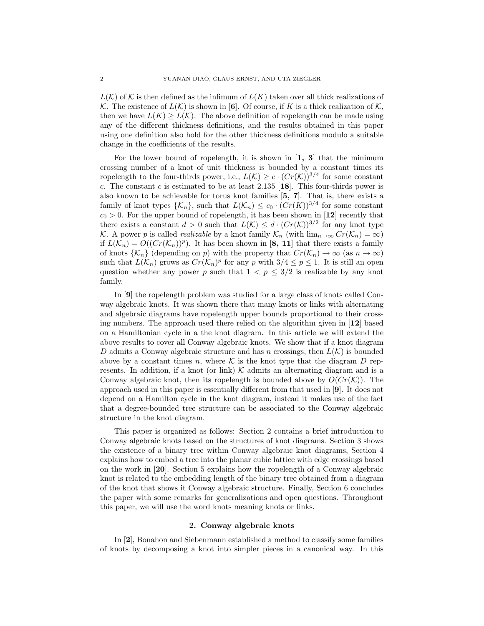$L(K)$  of K is then defined as the infimum of  $L(K)$  taken over all thick realizations of K. The existence of  $L(K)$  is shown in [6]. Of course, if K is a thick realization of K, then we have  $L(K) \geq L(K)$ . The above definition of ropelength can be made using any of the different thickness definitions, and the results obtained in this paper using one definition also hold for the other thickness definitions modulo a suitable change in the coefficients of the results.

For the lower bound of ropelength, it is shown in  $\left[1, 3\right]$  that the minimum crossing number of a knot of unit thickness is bounded by a constant times its ropelength to the four-thirds power, i.e.,  $L(\mathcal{K}) \geq c \cdot (Cr(\mathcal{K}))^{3/4}$  for some constant c. The constant c is estimated to be at least  $2.135$  [18]. This four-thirds power is also known to be achievable for torus knot families [5, 7]. That is, there exists a family of knot types  $\{\mathcal{K}_n\}$ , such that  $L(\mathcal{K}_n) \leq c_0 \cdot (Cr(K))^{3/4}$  for some constant  $c_0 > 0$ . For the upper bound of ropelength, it has been shown in [12] recently that there exists a constant  $d > 0$  such that  $L(K) \leq d \cdot (Cr(K))^{3/2}$  for any knot type K. A power p is called *realizable* by a knot family  $\mathcal{K}_n$  (with  $\lim_{n\to\infty} Cr(\mathcal{K}_n) = \infty$ ) if  $L(\mathcal{K}_n) = O((Cr(\mathcal{K}_n))^p)$ . It has been shown in [8, 11] that there exists a family of knots  $\{K_n\}$  (depending on p) with the property that  $Cr(K_n) \to \infty$  (as  $n \to \infty$ ) such that  $L(\mathcal{K}_n)$  grows as  $Cr(\mathcal{K}_n)^p$  for any p with  $3/4 \leq p \leq 1$ . It is still an open question whether any power p such that  $1 < p \leq 3/2$  is realizable by any knot family.

In [9] the ropelength problem was studied for a large class of knots called Conway algebraic knots. It was shown there that many knots or links with alternating and algebraic diagrams have ropelength upper bounds proportional to their crossing numbers. The approach used there relied on the algorithm given in [12] based on a Hamiltonian cycle in a the knot diagram. In this article we will extend the above results to cover all Conway algebraic knots. We show that if a knot diagram D admits a Conway algebraic structure and has n crossings, then  $L(K)$  is bounded above by a constant times n, where  $\mathcal K$  is the knot type that the diagram D represents. In addition, if a knot (or link)  $K$  admits an alternating diagram and is a Conway algebraic knot, then its ropelength is bounded above by  $O(Cr(\mathcal{K}))$ . The approach used in this paper is essentially different from that used in [9]. It does not depend on a Hamilton cycle in the knot diagram, instead it makes use of the fact that a degree-bounded tree structure can be associated to the Conway algebraic structure in the knot diagram.

This paper is organized as follows: Section 2 contains a brief introduction to Conway algebraic knots based on the structures of knot diagrams. Section 3 shows the existence of a binary tree within Conway algebraic knot diagrams, Section 4 explains how to embed a tree into the planar cubic lattice with edge crossings based on the work in [20]. Section 5 explains how the ropelength of a Conway algebraic knot is related to the embedding length of the binary tree obtained from a diagram of the knot that shows it Conway algebraic structure. Finally, Section 6 concludes the paper with some remarks for generalizations and open questions. Throughout this paper, we will use the word knots meaning knots or links.

### 2. Conway algebraic knots

In [2], Bonahon and Siebenmann established a method to classify some families of knots by decomposing a knot into simpler pieces in a canonical way. In this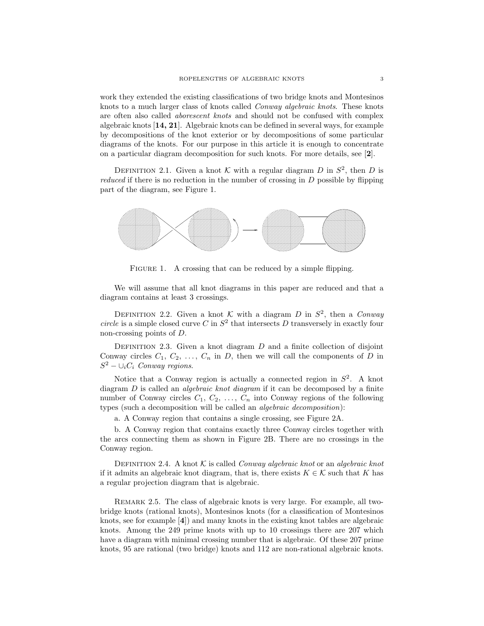work they extended the existing classifications of two bridge knots and Montesinos knots to a much larger class of knots called Conway algebraic knots. These knots are often also called aborescent knots and should not be confused with complex algebraic knots [14, 21]. Algebraic knots can be defined in several ways, for example by decompositions of the knot exterior or by decompositions of some particular diagrams of the knots. For our purpose in this article it is enough to concentrate on a particular diagram decomposition for such knots. For more details, see [2].

DEFINITION 2.1. Given a knot K with a regular diagram D in  $S^2$ , then D is reduced if there is no reduction in the number of crossing in  $D$  possible by flipping part of the diagram, see Figure 1.



FIGURE 1. A crossing that can be reduced by a simple flipping.

We will assume that all knot diagrams in this paper are reduced and that a diagram contains at least 3 crossings.

DEFINITION 2.2. Given a knot K with a diagram D in  $S^2$ , then a Conway circle is a simple closed curve C in  $S^2$  that intersects D transversely in exactly four non-crossing points of D.

DEFINITION 2.3. Given a knot diagram  $D$  and a finite collection of disjoint Conway circles  $C_1, C_2, \ldots, C_n$  in D, then we will call the components of D in  $S^2 - \cup_i C_i$  Conway regions.

Notice that a Conway region is actually a connected region in  $S^2$ . A knot diagram D is called an *algebraic knot diagram* if it can be decomposed by a finite number of Conway circles  $C_1, C_2, \ldots, C_n$  into Conway regions of the following types (such a decomposition will be called an algebraic decomposition):

a. A Conway region that contains a single crossing, see Figure 2A.

b. A Conway region that contains exactly three Conway circles together with the arcs connecting them as shown in Figure 2B. There are no crossings in the Conway region.

DEFINITION 2.4. A knot  $K$  is called *Conway algebraic knot* or an *algebraic knot* if it admits an algebraic knot diagram, that is, there exists  $K \in \mathcal{K}$  such that K has a regular projection diagram that is algebraic.

Remark 2.5. The class of algebraic knots is very large. For example, all twobridge knots (rational knots), Montesinos knots (for a classification of Montesinos knots, see for example [4]) and many knots in the existing knot tables are algebraic knots. Among the 249 prime knots with up to 10 crossings there are 207 which have a diagram with minimal crossing number that is algebraic. Of these 207 prime knots, 95 are rational (two bridge) knots and 112 are non-rational algebraic knots.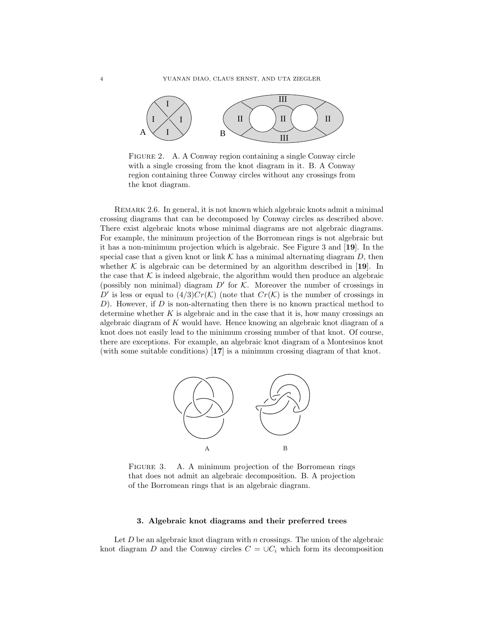

FIGURE 2. A. A Conway region containing a single Conway circle with a single crossing from the knot diagram in it. B. A Conway region containing three Conway circles without any crossings from the knot diagram.

REMARK 2.6. In general, it is not known which algebraic knots admit a minimal crossing diagrams that can be decomposed by Conway circles as described above. There exist algebraic knots whose minimal diagrams are not algebraic diagrams. For example, the minimum projection of the Borromean rings is not algebraic but it has a non-minimum projection which is algebraic. See Figure 3 and [19]. In the special case that a given knot or link  $K$  has a minimal alternating diagram  $D$ , then whether  $K$  is algebraic can be determined by an algorithm described in [19]. In the case that  $K$  is indeed algebraic, the algorithm would then produce an algebraic (possibly non minimal) diagram  $D'$  for  $K$ . Moreover the number of crossings in D' is less or equal to  $(4/3)Cr(\mathcal{K})$  (note that  $Cr(\mathcal{K})$  is the number of crossings in  $D$ ). However, if  $D$  is non-alternating then there is no known practical method to determine whether  $K$  is algebraic and in the case that it is, how many crossings an algebraic diagram of K would have. Hence knowing an algebraic knot diagram of a knot does not easily lead to the minimum crossing number of that knot. Of course, there are exceptions. For example, an algebraic knot diagram of a Montesinos knot (with some suitable conditions) [17] is a minimum crossing diagram of that knot.



FIGURE 3. A. A minimum projection of the Borromean rings that does not admit an algebraic decomposition. B. A projection of the Borromean rings that is an algebraic diagram.

### 3. Algebraic knot diagrams and their preferred trees

Let  $D$  be an algebraic knot diagram with n crossings. The union of the algebraic knot diagram D and the Conway circles  $C = \bigcup C_i$  which form its decomposition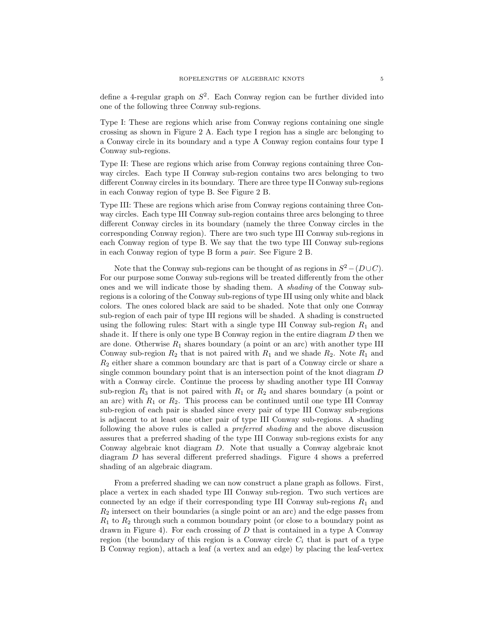define a 4-regular graph on  $S^2$ . Each Conway region can be further divided into one of the following three Conway sub-regions.

Type I: These are regions which arise from Conway regions containing one single crossing as shown in Figure 2 A. Each type I region has a single arc belonging to a Conway circle in its boundary and a type A Conway region contains four type I Conway sub-regions.

Type II: These are regions which arise from Conway regions containing three Conway circles. Each type II Conway sub-region contains two arcs belonging to two different Conway circles in its boundary. There are three type II Conway sub-regions in each Conway region of type B. See Figure 2 B.

Type III: These are regions which arise from Conway regions containing three Conway circles. Each type III Conway sub-region contains three arcs belonging to three different Conway circles in its boundary (namely the three Conway circles in the corresponding Conway region). There are two such type III Conway sub-regions in each Conway region of type B. We say that the two type III Conway sub-regions in each Conway region of type B form a pair. See Figure 2 B.

Note that the Conway sub-regions can be thought of as regions in  $S^2 - (D \cup C)$ . For our purpose some Conway sub-regions will be treated differently from the other ones and we will indicate those by shading them. A shading of the Conway subregions is a coloring of the Conway sub-regions of type III using only white and black colors. The ones colored black are said to be shaded. Note that only one Conway sub-region of each pair of type III regions will be shaded. A shading is constructed using the following rules: Start with a single type III Conway sub-region  $R_1$  and shade it. If there is only one type B Conway region in the entire diagram D then we are done. Otherwise  $R_1$  shares boundary (a point or an arc) with another type III Conway sub-region  $R_2$  that is not paired with  $R_1$  and we shade  $R_2$ . Note  $R_1$  and  $R<sub>2</sub>$  either share a common boundary arc that is part of a Conway circle or share a single common boundary point that is an intersection point of the knot diagram  $D$ with a Conway circle. Continue the process by shading another type III Conway sub-region  $R_3$  that is not paired with  $R_1$  or  $R_2$  and shares boundary (a point or an arc) with  $R_1$  or  $R_2$ . This process can be continued until one type III Conway sub-region of each pair is shaded since every pair of type III Conway sub-regions is adjacent to at least one other pair of type III Conway sub-regions. A shading following the above rules is called a preferred shading and the above discussion assures that a preferred shading of the type III Conway sub-regions exists for any Conway algebraic knot diagram D. Note that usually a Conway algebraic knot diagram D has several different preferred shadings. Figure 4 shows a preferred shading of an algebraic diagram.

From a preferred shading we can now construct a plane graph as follows. First, place a vertex in each shaded type III Conway sub-region. Two such vertices are connected by an edge if their corresponding type III Conway sub-regions  $R_1$  and  $R_2$  intersect on their boundaries (a single point or an arc) and the edge passes from  $R_1$  to  $R_2$  through such a common boundary point (or close to a boundary point as drawn in Figure 4). For each crossing of  $D$  that is contained in a type A Conway region (the boundary of this region is a Conway circle  $C_i$  that is part of a type B Conway region), attach a leaf (a vertex and an edge) by placing the leaf-vertex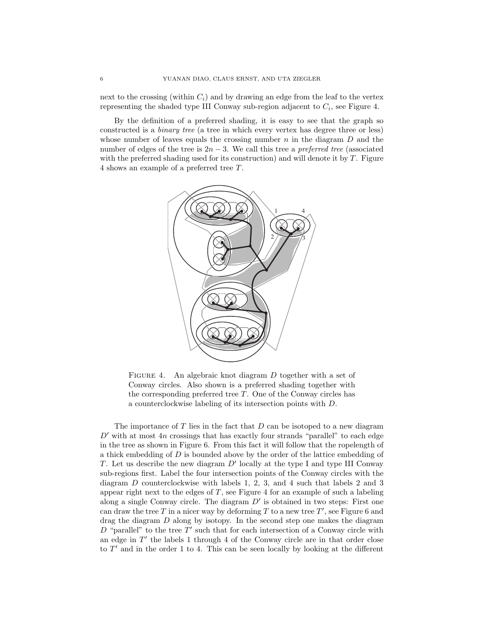next to the crossing (within  $C_i$ ) and by drawing an edge from the leaf to the vertex representing the shaded type III Conway sub-region adjacent to  $C_i$ , see Figure 4.

By the definition of a preferred shading, it is easy to see that the graph so constructed is a binary tree (a tree in which every vertex has degree three or less) whose number of leaves equals the crossing number  $n$  in the diagram  $D$  and the number of edges of the tree is  $2n-3$ . We call this tree a preferred tree (associated with the preferred shading used for its construction) and will denote it by  $T$ . Figure 4 shows an example of a preferred tree T.



FIGURE 4. An algebraic knot diagram D together with a set of Conway circles. Also shown is a preferred shading together with the corresponding preferred tree T. One of the Conway circles has a counterclockwise labeling of its intersection points with D.

The importance of  $T$  lies in the fact that  $D$  can be isotoped to a new diagram  $D'$  with at most 4n crossings that has exactly four strands "parallel" to each edge in the tree as shown in Figure 6. From this fact it will follow that the ropelength of a thick embedding of  $D$  is bounded above by the order of the lattice embedding of T. Let us describe the new diagram  $D'$  locally at the type I and type III Conway sub-regions first. Label the four intersection points of the Conway circles with the diagram D counterclockwise with labels 1, 2, 3, and 4 such that labels 2 and 3 appear right next to the edges of T, see Figure 4 for an example of such a labeling along a single Conway circle. The diagram  $D'$  is obtained in two steps: First one can draw the tree T in a nicer way by deforming T to a new tree  $T'$ , see Figure 6 and drag the diagram D along by isotopy. In the second step one makes the diagram  $D$  "parallel" to the tree  $T'$  such that for each intersection of a Conway circle with an edge in  $T'$  the labels 1 through 4 of the Conway circle are in that order close to  $T'$  and in the order 1 to 4. This can be seen locally by looking at the different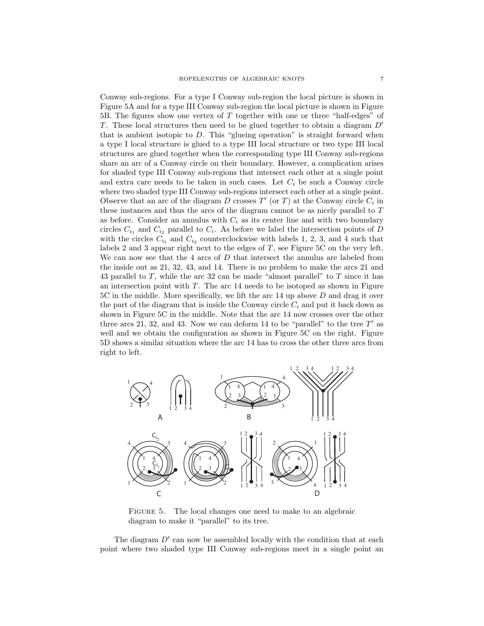Conway sub-regions. For a type I Conway sub-region the local picture is shown in Figure 5A and for a type III Conway sub-region the local picture is shown in Figure 5B. The figures show one vertex of T together with one or three "half-edges" of T. These local structures then need to be glued together to obtain a diagram  $D'$ that is ambient isotopic to  $D$ . This "glueing operation" is straight forward when a type I local structure is glued to a type III local structure or two type III local structures are glued together when the corresponding type III Conway sub-regions share an arc of a Conway circle on their boundary. However, a complication arises for shaded type III Conway sub-regions that intersect each other at a single point and extra care needs to be taken in such cases. Let  $C_i$  be such a Conway circle where two shaded type III Conway sub-regions intersect each other at a single point. Observe that an arc of the diagram  $D$  crosses  $T'$  (or  $T$ ) at the Conway circle  $C_i$  in these instances and thus the arcs of the diagram cannot be as nicely parallel to T as before. Consider an annulus with  $C_i$  as its center line and with two boundary circles  $C_{i_1}$  and  $C_{i_2}$  parallel to  $C_i$ . As before we label the intersection points of D with the circles  $C_{i_1}$  and  $C_{i_2}$  counterclockwise with labels 1, 2, 3, and 4 such that labels 2 and 3 appear right next to the edges of T, see Figure 5C on the very left. We can now see that the 4 arcs of D that intersect the annulus are labeled from the inside out as 21, 32, 43, and 14. There is no problem to make the arcs 21 and 43 parallel to T, while the arc 32 can be made "almost parallel" to T since it has an intersection point with  $T$ . The arc 14 needs to be isotoped as shown in Figure 5C in the middle. More specifically, we lift the arc 14 up above D and drag it over the part of the diagram that is inside the Conway circle  $C_i$  and put it back down as shown in Figure 5C in the middle. Note that the arc 14 now crosses over the other three arcs 21, 32, and 43. Now we can deform 14 to be "parallel" to the tree  $T'$  as well and we obtain the configuration as shown in Figure 5C on the right. Figure 5D shows a similar situation where the arc 14 has to cross the other three arcs from right to left.



FIGURE 5. The local changes one need to make to an algebraic diagram to make it "parallel" to its tree.

The diagram  $D'$  can now be assembled locally with the condition that at each point where two shaded type III Conway sub-regions meet in a single point an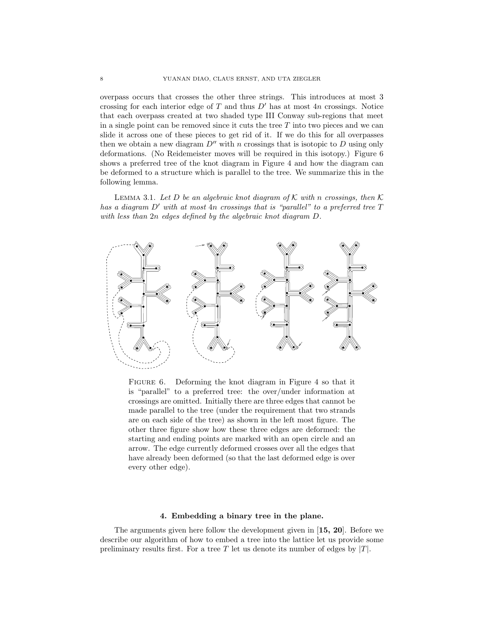overpass occurs that crosses the other three strings. This introduces at most 3 crossing for each interior edge of T and thus  $D'$  has at most 4n crossings. Notice that each overpass created at two shaded type III Conway sub-regions that meet in a single point can be removed since it cuts the tree  $T$  into two pieces and we can slide it across one of these pieces to get rid of it. If we do this for all overpasses then we obtain a new diagram  $D^{\prime\prime}$  with n crossings that is isotopic to D using only deformations. (No Reidemeister moves will be required in this isotopy.) Figure 6 shows a preferred tree of the knot diagram in Figure 4 and how the diagram can be deformed to a structure which is parallel to the tree. We summarize this in the following lemma.

LEMMA 3.1. Let D be an algebraic knot diagram of K with n crossings, then K has a diagram  $D'$  with at most 4n crossings that is "parallel" to a preferred tree  $T$ with less than 2n edges defined by the algebraic knot diagram D.



Figure 6. Deforming the knot diagram in Figure 4 so that it is "parallel" to a preferred tree: the over/under information at crossings are omitted. Initially there are three edges that cannot be made parallel to the tree (under the requirement that two strands are on each side of the tree) as shown in the left most figure. The other three figure show how these three edges are deformed: the starting and ending points are marked with an open circle and an arrow. The edge currently deformed crosses over all the edges that have already been deformed (so that the last deformed edge is over every other edge).

## 4. Embedding a binary tree in the plane.

The arguments given here follow the development given in [15, 20]. Before we describe our algorithm of how to embed a tree into the lattice let us provide some preliminary results first. For a tree T let us denote its number of edges by  $|T|$ .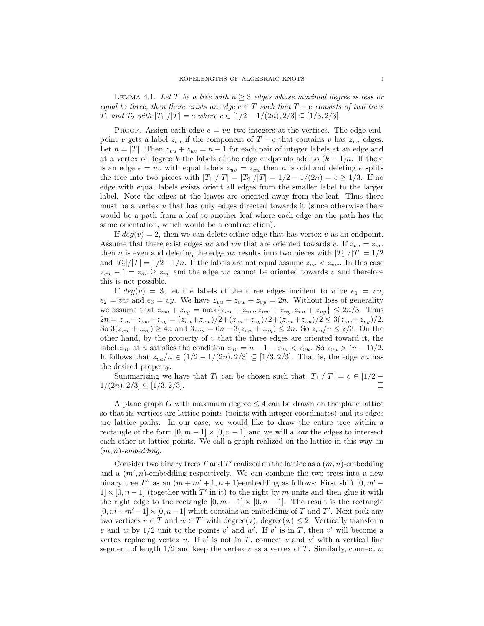LEMMA 4.1. Let T be a tree with  $n \geq 3$  edges whose maximal degree is less or equal to three, then there exists an edge  $e \in T$  such that  $T - e$  consists of two trees  $T_1$  and  $T_2$  with  $|T_1|/|T| = c$  where  $c \in [1/2 - 1/(2n), 2/3] \subseteq [1/3, 2/3]$ .

PROOF. Assign each edge  $e = vu$  two integers at the vertices. The edge endpoint v gets a label  $z_{vu}$  if the component of  $T - e$  that contains v has  $z_{vu}$  edges. Let  $n = |T|$ . Then  $z_{vu} + z_{uv} = n - 1$  for each pair of integer labels at an edge and at a vertex of degree k the labels of the edge endpoints add to  $(k-1)n$ . If there is an edge  $e = uv$  with equal labels  $z_{uv} = z_{vu}$  then n is odd and deleting e splits the tree into two pieces with  $|T_1|/|T| = |T_2|/|T| = 1/2 - 1/(2n) = c \ge 1/3$ . If no edge with equal labels exists orient all edges from the smaller label to the larger label. Note the edges at the leaves are oriented away from the leaf. Thus there must be a vertex  $v$  that has only edges directed towards it (since otherwise there would be a path from a leaf to another leaf where each edge on the path has the same orientation, which would be a contradiction).

If  $deg(v) = 2$ , then we can delete either edge that has vertex v as an endpoint. Assume that there exist edges uv and wv that are oriented towards v. If  $z_{vu} = z_{vw}$ then *n* is even and deleting the edge uv results into two pieces with  $|T_1|/|T_1| = 1/2$ and  $|T_2|/|T|=1/2-1/n$ . If the labels are not equal assume  $z_{vu} < z_{vw}$ . In this case  $z_{vw} - 1 = z_{uv} \ge z_{vu}$  and the edge wv cannot be oriented towards v and therefore this is not possible.

If  $deg(v) = 3$ , let the labels of the three edges incident to v be  $e_1 = vu$ ,  $e_2 = vw$  and  $e_3 = vy$ . We have  $z_{vu} + z_{vw} + z_{vy} = 2n$ . Without loss of generality we assume that  $z_{vw} + z_{vy} = \max\{z_{vu} + z_{vw}, z_{vw} + z_{vy}, z_{vu} + z_{vy}\} \le 2n/3$ . Thus  $2n = z_{vu}+z_{vw}+z_{vy} = (z_{vu}+z_{vw})/2+(z_{vu}+z_{vy})/2+(z_{vw}+z_{vy})/2 \leq 3(z_{vw}+z_{vy})/2.$ So  $3(z_{vw} + z_{vy}) \ge 4n$  and  $3z_{vu} = 6n - 3(z_{vw} + z_{vy}) \le 2n$ . So  $z_{vu}/n \le 2/3$ . On the other hand, by the property of  $v$  that the three edges are oriented toward it, the label  $z_{uv}$  at u satisfies the condition  $z_{uv} = n - 1 - z_{vu} < z_{vu}$ . So  $z_{vu} > (n - 1)/2$ . It follows that  $z_{vu}/n \in (1/2-1/(2n), 2/3]$  ⊆ [1/3, 2/3]. That is, the edge vu has the desired property.

Summarizing we have that  $T_1$  can be chosen such that  $|T_1|/|T| = c \in [1/2 - 1]$  $1/(2n), 2/3] \subseteq [1/3, 2/3].$ 

A plane graph G with maximum degree  $\leq 4$  can be drawn on the plane lattice so that its vertices are lattice points (points with integer coordinates) and its edges are lattice paths. In our case, we would like to draw the entire tree within a rectangle of the form  $[0, m - 1] \times [0, n - 1]$  and we will allow the edges to intersect each other at lattice points. We call a graph realized on the lattice in this way an  $(m, n)$ -embedding.

Consider two binary trees T and T' realized on the lattice as a  $(m, n)$ -embedding and a  $(m', n)$ -embedding respectively. We can combine the two trees into a new binary tree T'' as an  $(m + m' + 1, n + 1)$ -embedding as follows: First shift  $[0, m' 1 \times [0, n-1]$  (together with T' in it) to the right by m units and then glue it with the right edge to the rectangle  $[0, m - 1] \times [0, n - 1]$ . The result is the rectangle  $[0, m+m'-1] \times [0, n-1]$  which contains an embedding of T and T'. Next pick any two vertices  $v \in T$  and  $w \in T'$  with degree(v), degree(w)  $\leq 2$ . Vertically transform v and w by  $1/2$  unit to the points v' and w'. If v' is in T, then v' will become a vertex replacing vertex v. If  $v'$  is not in T, connect v and  $v'$  with a vertical line segment of length  $1/2$  and keep the vertex v as a vertex of T. Similarly, connect w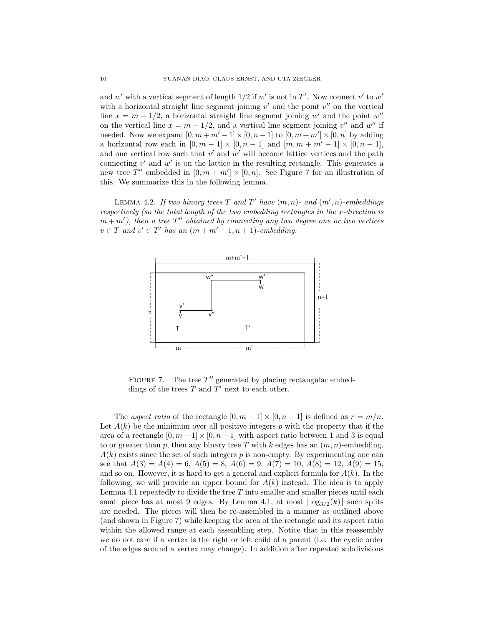and w' with a vertical segment of length  $1/2$  if w' is not in T'. Now connect v' to w' with a horizontal straight line segment joining  $v'$  and the point  $v''$  on the vertical line  $x = m - 1/2$ , a horizontal straight line segment joining w' and the point w'' on the vertical line  $x = m - 1/2$ , and a vertical line segment joining v'' and w'' if needed. Now we expand  $[0, m+m'-1] \times [0, n-1]$  to  $[0, m+m'] \times [0, n]$  by adding a horizontal row each in  $[0, m - 1] \times [0, n - 1]$  and  $[m, m + m' - 1] \times [0, n - 1]$ , and one vertical row such that  $v'$  and  $w'$  will become lattice vertices and the path connecting  $v'$  and  $w'$  is on the lattice in the resulting rectangle. This generates a new tree T'' embedded in  $[0, m + m'] \times [0, n]$ . See Figure 7 for an illustration of this. We summarize this in the following lemma.

LEMMA 4.2. If two binary trees T and T' have  $(m, n)$ - and  $(m', n)$ -embeddings respectively (so the total length of the two embedding rectangles in the  $x$ -direction is  $m + m'$ ), then a tree T'' obtained by connecting any two degree one or two vertices  $v \in T$  and  $v' \in T'$  has an  $(m + m' + 1, n + 1)$ -embedding.



FIGURE 7. The tree  $T''$  generated by placing rectangular embeddings of the trees  $T$  and  $T'$  next to each other.

The aspect ratio of the rectangle  $[0, m-1] \times [0, n-1]$  is defined as  $r = m/n$ . Let  $A(k)$  be the minimum over all positive integers p with the property that if the area of a rectangle  $[0, m-1] \times [0, n-1]$  with aspect ratio between 1 and 3 is equal to or greater than p, then any binary tree T with k edges has an  $(m, n)$ -embedding.  $A(k)$  exists since the set of such integers p is non-empty. By experimenting one can see that  $A(3) = A(4) = 6$ ,  $A(5) = 8$ ,  $A(6) = 9$ ,  $A(7) = 10$ ,  $A(8) = 12$ ,  $A(9) = 15$ , and so on. However, it is hard to get a general and explicit formula for  $A(k)$ . In the following, we will provide an upper bound for  $A(k)$  instead. The idea is to apply Lemma 4.1 repeatedly to divide the tree  $T$  into smaller and smaller pieces until each small piece has at most 9 edges. By Lemma 4.1, at most  $\lfloor \log_{3/2}(k) \rfloor$  such splits are needed. The pieces will then be re-assembled in a manner as outlined above (and shown in Figure 7) while keeping the area of the rectangle and its aspect ratio within the allowed range at each assembling step. Notice that in this reassembly we do not care if a vertex is the right or left child of a parent (i.e. the cyclic order of the edges around a vertex may change). In addition after repeated subdivisions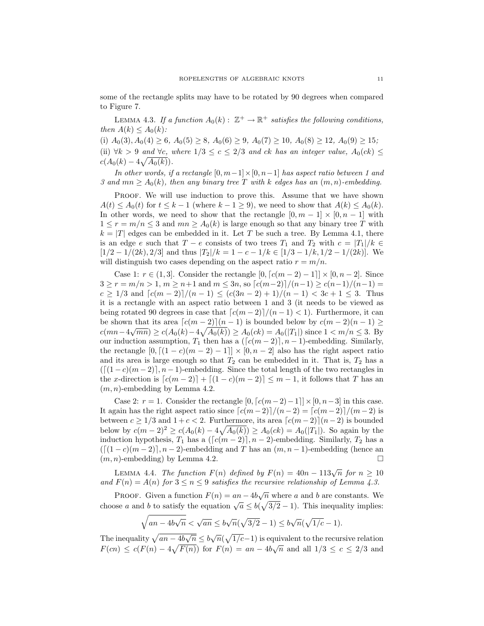some of the rectangle splits may have to be rotated by 90 degrees when compared to Figure 7.

LEMMA 4.3. If a function  $A_0(k): \mathbb{Z}^+ \to \mathbb{R}^+$  satisfies the following conditions, then  $A(k) \leq A_0(k)$ :

(i)  $A_0(3), A_0(4) \ge 6, A_0(5) \ge 8, A_0(6) \ge 9, A_0(7) \ge 10, A_0(8) \ge 12, A_0(9) \ge 15;$ (ii)  $\forall k > 9$  and  $\forall c$ , where  $1/3 \leq c \leq 2/3$  and ck has an integer value,  $A_0(ck) \leq$  $c(A_0(k) - 4\sqrt{A_0(k)})$ .

In other words, if a rectangle  $[0, m-1] \times [0, n-1]$  has aspect ratio between 1 and 3 and  $mn \geq A_0(k)$ , then any binary tree T with k edges has an  $(m, n)$ -embedding.

PROOF. We will use induction to prove this. Assume that we have shown  $A(t) \leq A_0(t)$  for  $t \leq k-1$  (where  $k-1 \geq 9$ ), we need to show that  $A(k) \leq A_0(k)$ . In other words, we need to show that the rectangle  $[0, m - 1] \times [0, n - 1]$  with  $1 \leq r = m/n \leq 3$  and  $mn \geq A_0(k)$  is large enough so that any binary tree T with  $k = |T|$  edges can be embedded in it. Let T be such a tree. By Lemma 4.1, there is an edge e such that  $T - e$  consists of two trees  $T_1$  and  $T_2$  with  $c = |T_1|/k \in$  $[1/2 - 1/(2k), 2/3]$  and thus  $|T_2|/k = 1 - c - 1/k \in [1/3 - 1/k, 1/2 - 1/(2k)]$ . We will distinguish two cases depending on the aspect ratio  $r = m/n$ .

Case 1:  $r \in (1, 3]$ . Consider the rectangle  $[0, \lceil c(m-2)-1 \rceil] \times [0, n-2]$ . Since  $3 \ge r = m/n > 1, m \ge n+1$  and  $m \le 3n$ , so  $\lceil c(m-2) \rceil/(n-1) \ge c(n-1)/(n-1) =$  $c \geq 1/3$  and  $\lceil c(m-2) \rceil/(n-1) \leq (c(3n-2)+1)/(n-1) < 3c+1 \leq 3$ . Thus it is a rectangle with an aspect ratio between 1 and 3 (it needs to be viewed as being rotated 90 degrees in case that  $\lceil c(m - 2) \rceil/(n - 1) < 1$ . Furthermore, it can be shown that its area  $\lceil c(m-2) \rceil (n-1)$  is bounded below by  $c(m-2)(n-1) \ge$  $c(mn-4\sqrt{mn}) \ge c(A_0(k)-4\sqrt{A_0(k)}) \ge A_0(ck) = A_0(|T_1|)$  since  $1 < m/n \le 3$ . By our induction assumption,  $T_1$  then has a  $([c(m-2)], n-1)$ -embedding. Similarly, the rectangle  $[0, [(1 - c)(m - 2) - 1]] \times [0, n - 2]$  also has the right aspect ratio and its area is large enough so that  $T_2$  can be embedded in it. That is,  $T_2$  has a  $([1 - c)(m - 2)], n - 1)$ -embedding. Since the total length of the two rectangles in the x-direction is  $\lceil c(m-2) \rceil + \lceil (1-c)(m-2) \rceil \leq m-1$ , it follows that T has an  $(m, n)$ -embedding by Lemma 4.2.

Case 2:  $r = 1$ . Consider the rectangle  $[0, \lceil c(m-2)-1 \rceil] \times [0, n-3]$  in this case. It again has the right aspect ratio since  $\lceil c(m-2) \rceil/(n-2) = \lceil c(m-2) \rceil/(m-2)$  is between  $c \geq 1/3$  and  $1 + c < 2$ . Furthermore, its area  $\lceil c(m-2) \rceil (n-2)$  is bounded below by  $c(m-2)^2 \ge c(A_0(k) - 4\sqrt{A_0(k)}) \ge A_0(ck) = A_0(|T_1|)$ . So again by the induction hypothesis,  $T_1$  has a  $([c(m - 2)], n - 2)$ -embedding. Similarly,  $T_2$  has a  $([1-c)(m-2)], n-2)$ -embedding and T has an  $(m, n-1)$ -embedding (hence an  $(m, n)$ -embedding) by Lemma 4.2.

LEMMA 4.4. The function  $F(n)$  defined by  $F(n) = 40n - 113\sqrt{n}$  for  $n \ge 10$ and  $F(n) = A(n)$  for  $3 \le n \le 9$  satisfies the recursive relationship of Lemma 4.3.

PROOF. Given a function  $F(n) = an - 4b\sqrt{n}$  where a and b are constants. We choose a and b to satisfy the equation  $\sqrt{a} \le b(\sqrt{3}/2 - 1)$ . This inequality implies:  $\mathcal{L}$ 

$$
\sqrt{an - 4b\sqrt{n}} < \sqrt{an} \le b\sqrt{n}(\sqrt{3/2} - 1) \le b\sqrt{n}(\sqrt{1/c} - 1).
$$

The inequality  $\sqrt{an - 4b\sqrt{n}} \le b\sqrt{n}$  $-\frac{4b\sqrt{n}}{\sqrt{m}} \leq b\sqrt{n}(\sqrt{1/c}-1)$  is equivalent to the recursive relation F(cn)  $\leq c(F(n) - 4\sqrt{F(n)})$  for  $F(n) = an - 4b\sqrt{n}$  and all  $1/3 \leq c \leq 2/3$  and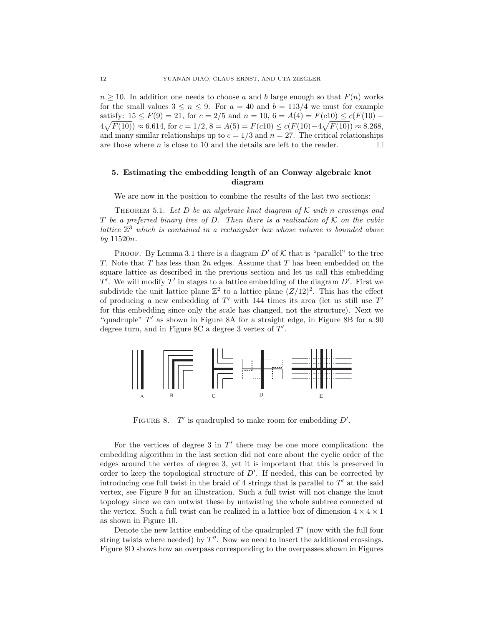$n \geq 10$ . In addition one needs to choose a and b large enough so that  $F(n)$  works for the small values  $3 \leq n \leq 9$ . For  $a = 40$  and  $b = 113/4$  we must for example satisfy:  $15 \leq F(9) = 21$ , for  $c = 2/5$  and  $n = 10$ ,  $6 = A(4) = F(c10) \leq c(F(10) 4\sqrt{F(10)} \approx 6.614$ , for  $c = 1/2$ ,  $8 = A(5) = F(c10) \le c(F(10) - 4\sqrt{F(10)}) \approx 8.268$ , and many similar relationships up to  $c = 1/3$  and  $n = 27$ . The critical relationships are those where *n* is close to 10 and the details are left to the reader.  $\Box$ 

# 5. Estimating the embedding length of an Conway algebraic knot diagram

We are now in the position to combine the results of the last two sections:

THEOREM 5.1. Let D be an algebraic knot diagram of  $K$  with n crossings and T be a preferred binary tree of D. Then there is a realization of  $K$  on the cubic lattice  $\mathbb{Z}^3$  which is contained in a rectangular box whose volume is bounded above by 11520n.

**PROOF.** By Lemma 3.1 there is a diagram  $D'$  of K that is "parallel" to the tree T. Note that T has less than  $2n$  edges. Assume that T has been embedded on the square lattice as described in the previous section and let us call this embedding T'. We will modify  $T'$  in stages to a lattice embedding of the diagram  $D'$ . First we subdivide the unit lattice plane  $\mathbb{Z}^2$  to a lattice plane  $(Z/12)^2$ . This has the effect of producing a new embedding of  $T'$  with 144 times its area (let us still use  $T'$ for this embedding since only the scale has changed, not the structure). Next we "quadruple" T' as shown in Figure 8A for a straight edge, in Figure 8B for a 90 degree turn, and in Figure 8C a degree 3 vertex of  $T'$ .



FIGURE 8.  $T'$  is quadrupled to make room for embedding  $D'$ .

For the vertices of degree  $3$  in  $T'$  there may be one more complication: the embedding algorithm in the last section did not care about the cyclic order of the edges around the vertex of degree 3, yet it is important that this is preserved in order to keep the topological structure of  $D'$ . If needed, this can be corrected by introducing one full twist in the braid of 4 strings that is parallel to  $T'$  at the said vertex, see Figure 9 for an illustration. Such a full twist will not change the knot topology since we can untwist these by untwisting the whole subtree connected at the vertex. Such a full twist can be realized in a lattice box of dimension  $4 \times 4 \times 1$ as shown in Figure 10.

Denote the new lattice embedding of the quadrupled  $T'$  (now with the full four string twists where needed) by  $T''$ . Now we need to insert the additional crossings. Figure 8D shows how an overpass corresponding to the overpasses shown in Figures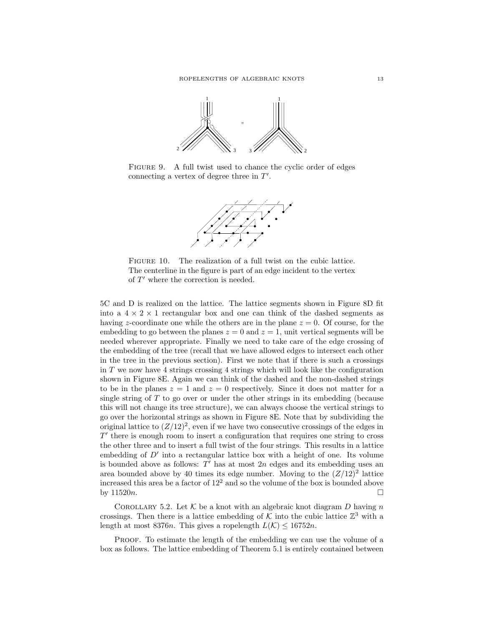

FIGURE 9. A full twist used to chance the cyclic order of edges connecting a vertex of degree three in  $T'$ .



FIGURE 10. The realization of a full twist on the cubic lattice. The centerline in the figure is part of an edge incident to the vertex of  $T'$  where the correction is needed.

5C and D is realized on the lattice. The lattice segments shown in Figure 8D fit into a  $4 \times 2 \times 1$  rectangular box and one can think of the dashed segments as having z-coordinate one while the others are in the plane  $z = 0$ . Of course, for the embedding to go between the planes  $z = 0$  and  $z = 1$ , unit vertical segments will be needed wherever appropriate. Finally we need to take care of the edge crossing of the embedding of the tree (recall that we have allowed edges to intersect each other in the tree in the previous section). First we note that if there is such a crossings in  $T$  we now have 4 strings crossing 4 strings which will look like the configuration shown in Figure 8E. Again we can think of the dashed and the non-dashed strings to be in the planes  $z = 1$  and  $z = 0$  respectively. Since it does not matter for a single string of  $T$  to go over or under the other strings in its embedding (because this will not change its tree structure), we can always choose the vertical strings to go over the horizontal strings as shown in Figure 8E. Note that by subdividing the original lattice to  $(Z/12)^2$ , even if we have two consecutive crossings of the edges in  $T'$  there is enough room to insert a configuration that requires one string to cross the other three and to insert a full twist of the four strings. This results in a lattice embedding of  $D'$  into a rectangular lattice box with a height of one. Its volume is bounded above as follows:  $T'$  has at most  $2n$  edges and its embedding uses an area bounded above by 40 times its edge number. Moving to the  $(Z/12)^2$  lattice increased this area be a factor of  $12<sup>2</sup>$  and so the volume of the box is bounded above by  $11520n$ .

COROLLARY 5.2. Let  $\mathcal K$  be a knot with an algebraic knot diagram D having n crossings. Then there is a lattice embedding of  $K$  into the cubic lattice  $\mathbb{Z}^3$  with a length at most 8376*n*. This gives a ropelength  $L(K) \le 16752n$ .

PROOF. To estimate the length of the embedding we can use the volume of a box as follows. The lattice embedding of Theorem 5.1 is entirely contained between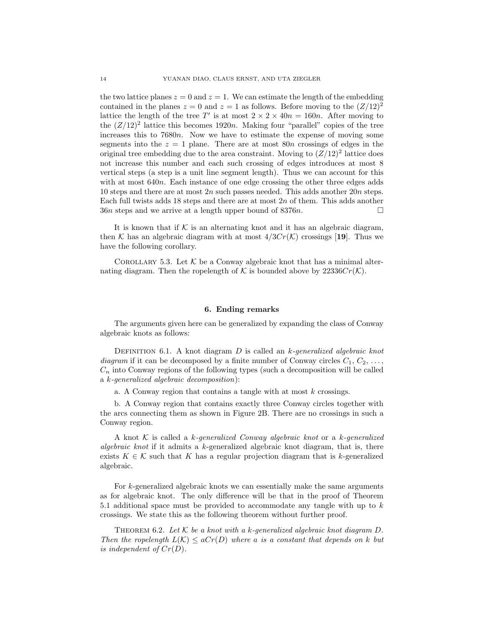the two lattice planes  $z = 0$  and  $z = 1$ . We can estimate the length of the embedding contained in the planes  $z = 0$  and  $z = 1$  as follows. Before moving to the  $(Z/12)^2$ lattice the length of the tree T' is at most  $2 \times 2 \times 40n = 160n$ . After moving to the  $(Z/12)^2$  lattice this becomes 1920n. Making four "parallel" copies of the tree increases this to 7680n. Now we have to estimate the expense of moving some segments into the  $z = 1$  plane. There are at most 80*n* crossings of edges in the original tree embedding due to the area constraint. Moving to  $(Z/12)^2$  lattice does not increase this number and each such crossing of edges introduces at most 8 vertical steps (a step is a unit line segment length). Thus we can account for this with at most 640*n*. Each instance of one edge crossing the other three edges adds 10 steps and there are at most 2n such passes needed. This adds another 20n steps. Each full twists adds 18 steps and there are at most  $2n$  of them. This adds another 36n steps and we arrive at a length upper bound of 8376n.

It is known that if  $K$  is an alternating knot and it has an algebraic diagram, then K has an algebraic diagram with at most  $4/3Cr(K)$  crossings [19]. Thus we have the following corollary.

COROLLARY 5.3. Let  $\mathcal K$  be a Conway algebraic knot that has a minimal alternating diagram. Then the ropelength of K is bounded above by  $22336Cr(K)$ .

### 6. Ending remarks

The arguments given here can be generalized by expanding the class of Conway algebraic knots as follows:

DEFINITION 6.1. A knot diagram  $D$  is called an  $k$ -generalized algebraic knot diagram if it can be decomposed by a finite number of Conway circles  $C_1, C_2, \ldots$ ,  $\mathcal{C}_n$  into Conway regions of the following types (such a decomposition will be called a k-generalized algebraic decomposition):

a. A Conway region that contains a tangle with at most k crossings.

b. A Conway region that contains exactly three Conway circles together with the arcs connecting them as shown in Figure 2B. There are no crossings in such a Conway region.

A knot K is called a k-generalized Conway algebraic knot or a k-generalized algebraic knot if it admits a  $k$ -generalized algebraic knot diagram, that is, there exists  $K \in \mathcal{K}$  such that K has a regular projection diagram that is k-generalized algebraic.

For k-generalized algebraic knots we can essentially make the same arguments as for algebraic knot. The only difference will be that in the proof of Theorem 5.1 additional space must be provided to accommodate any tangle with up to k crossings. We state this as the following theorem without further proof.

THEOREM 6.2. Let  $K$  be a knot with a k-generalized algebraic knot diagram  $D$ . Then the ropelength  $L(\mathcal{K}) \leq aCr(D)$  where a is a constant that depends on k but is independent of  $Cr(D)$ .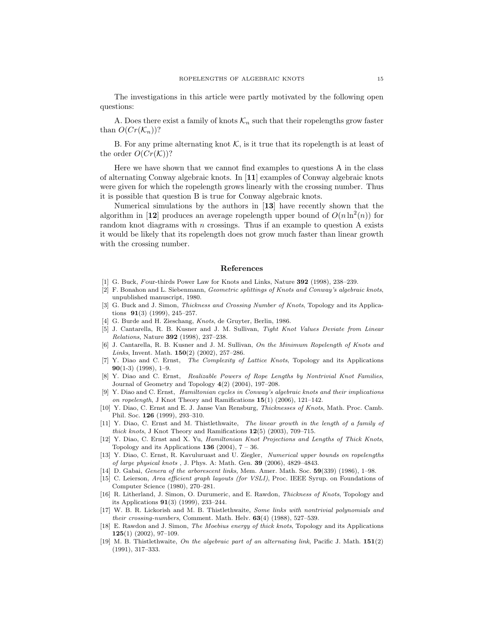The investigations in this article were partly motivated by the following open questions:

A. Does there exist a family of knots  $\mathcal{K}_n$  such that their ropelengths grow faster than  $O(Cr(\mathcal{K}_n))$ ?

B. For any prime alternating knot  $K$ , is it true that its ropelength is at least of the order  $O(Cr(\mathcal{K}))$ ?

Here we have shown that we cannot find examples to questions A in the class of alternating Conway algebraic knots. In [11] examples of Conway algebraic knots were given for which the ropelength grows linearly with the crossing number. Thus it is possible that question B is true for Conway algebraic knots.

Numerical simulations by the authors in [13] have recently shown that the algorithm in [12] produces an average ropelength upper bound of  $O(n \ln^2(n))$  for random knot diagrams with  $n$  crossings. Thus if an example to question  $A$  exists it would be likely that its ropelength does not grow much faster than linear growth with the crossing number.

### References

- [1] G. Buck, Four-thirds Power Law for Knots and Links, Nature 392 (1998), 238–239.
- [2] F. Bonahon and L. Siebenmann, Geometric splittings of Knots and Conway's algebraic knots, unpublished manuscript, 1980.
- [3] G. Buck and J. Simon, Thickness and Crossing Number of Knots, Topology and its Applications 91(3) (1999), 245–257.
- [4] G. Burde and H. Zieschang, Knots, de Gruyter, Berlin, 1986.
- [5] J. Cantarella, R. B. Kusner and J. M. Sullivan, Tight Knot Values Deviate from Linear Relations, Nature 392 (1998), 237–238.
- [6] J. Cantarella, R. B. Kusner and J. M. Sullivan, On the Minimum Ropelength of Knots and *Links*, Invent. Math.  $150(2)$  (2002), 257-286.
- [7] Y. Diao and C. Ernst, The Complexity of Lattice Knots, Topology and its Applications **90**(1-3) (1998), 1–9.
- [8] Y. Diao and C. Ernst, Realizable Powers of Rope Lengths by Nontrivial Knot Families, Journal of Geometry and Topology 4(2) (2004), 197–208.
- [9] Y. Diao and C. Ernst, Hamiltonian cycles in Conway's algebraic knots and their implications on ropelength, J Knot Theory and Ramifications  $15(1)$  (2006), 121-142.
- [10] Y. Diao, C. Ernst and E. J. Janse Van Rensburg, Thicknesses of Knots, Math. Proc. Camb. Phil. Soc. 126 (1999), 293–310.
- [11] Y. Diao, C. Ernst and M. Thistlethwaite, The linear growth in the length of a family of thick knots, J Knot Theory and Ramifications  $12(5)$  (2003), 709–715.
- [12] Y. Diao, C. Ernst and X. Yu, Hamiltonian Knot Projections and Lengths of Thick Knots, Topology and its Applications  $136$  (2004),  $7 - 36$ .
- [13] Y. Diao, C. Ernst, R. Kavuluruast and U. Ziegler, Numerical upper bounds on ropelengths of large physical knots , J. Phys. A: Math. Gen. 39 (2006), 4829–4843.
- [14] D. Gabai, Genera of the arborescent links, Mem. Amer. Math. Soc. 59(339) (1986), 1–98.
- [15] C. Leierson, Area efficient graph layouts (for VSLI), Proc. IEEE Syrup. on Foundations of Computer Science (1980), 270–281.
- [16] R. Litherland, J. Simon, O. Durumeric, and E. Rawdon, Thickness of Knots, Topology and its Applications 91(3) (1999), 233–244.
- [17] W. B. R. Lickorish and M. B. Thistlethwaite, Some links with nontrivial polynomials and their crossing-numbers, Comment. Math. Helv.  $63(4)$  (1988), 527-539.
- [18] E. Rawdon and J. Simon, The Moebius energy of thick knots, Topology and its Applications 125(1) (2002), 97–109.
- [19] M. B. Thistlethwaite, On the algebraic part of an alternating link, Pacific J. Math. 151(2) (1991), 317–333.